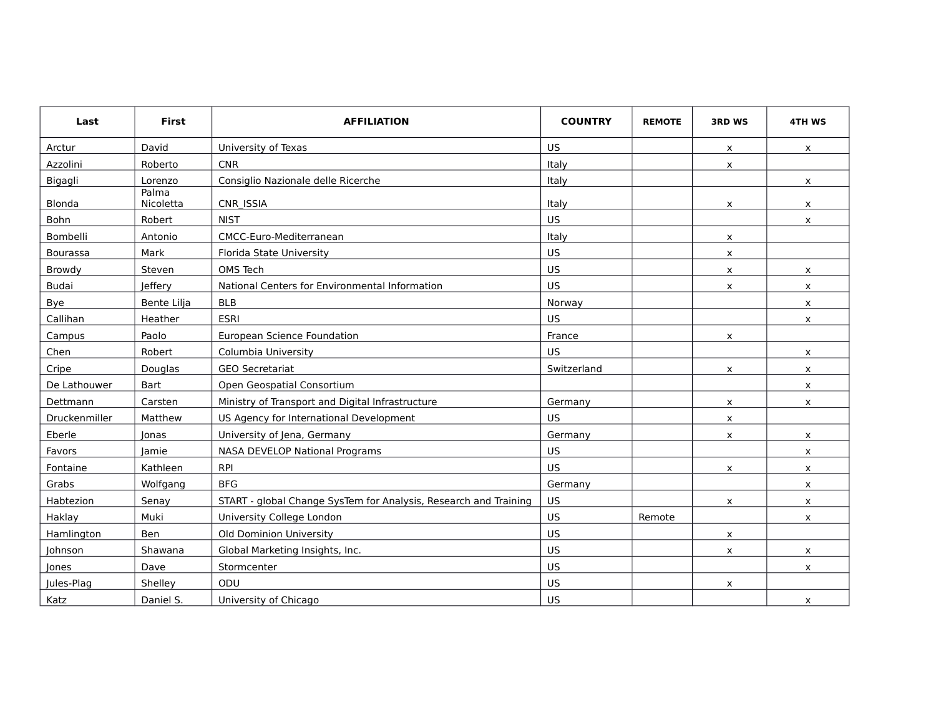| Last          | First              | <b>AFFILIATION</b>                                               | <b>COUNTRY</b> | <b>REMOTE</b> | <b>3RD WS</b>             | 4TH WS       |
|---------------|--------------------|------------------------------------------------------------------|----------------|---------------|---------------------------|--------------|
| Arctur        | David              | University of Texas                                              | US.            |               | X                         | x            |
| Azzolini      | Roberto            | <b>CNR</b>                                                       | Italy          |               | X                         |              |
| Bigagli       | Lorenzo            | Consiglio Nazionale delle Ricerche                               | Italy          |               |                           | X.           |
| Blonda        | Palma<br>Nicoletta | CNR ISSIA                                                        | Italy          |               | x                         | x            |
| Bohn          | Robert             | <b>NIST</b>                                                      | US             |               |                           | X.           |
| Bombelli      | Antonio            | CMCC-Euro-Mediterranean                                          | Italy          |               | $\boldsymbol{\mathsf{x}}$ |              |
| Bourassa      | Mark               | Florida State University                                         | <b>US</b>      |               | X                         |              |
| Browdy        | Steven             | OMS Tech                                                         | US             |               | $\boldsymbol{\mathsf{x}}$ | x            |
| <b>Budai</b>  | Jeffery            | National Centers for Environmental Information                   | <b>US</b>      |               | X                         | x            |
| Bye           | Bente Lilja        | <b>BLB</b>                                                       | Norway         |               |                           | $\mathsf{x}$ |
| Callihan      | Heather            | <b>ESRI</b>                                                      | <b>US</b>      |               |                           | x            |
| Campus        | Paolo              | European Science Foundation                                      | France         |               | $\times$                  |              |
| Chen          | Robert             | Columbia University                                              | US.            |               |                           | X            |
| Cripe         | Douglas            | <b>GEO Secretariat</b>                                           | Switzerland    |               | $\boldsymbol{\mathsf{x}}$ | x            |
| De Lathouwer  | <b>Bart</b>        | Open Geospatial Consortium                                       |                |               |                           | X            |
| Dettmann      | Carsten            | Ministry of Transport and Digital Infrastructure                 | Germany        |               | X                         | x            |
| Druckenmiller | Matthew            | US Agency for International Development                          | <b>US</b>      |               | X                         |              |
| Eberle        | Jonas              | University of Jena, Germany                                      | Germany        |               | $\boldsymbol{\mathsf{x}}$ | x            |
| Favors        | lamie              | NASA DEVELOP National Programs                                   | <b>US</b>      |               |                           | x            |
| Fontaine      | Kathleen           | <b>RPI</b>                                                       | <b>US</b>      |               | X                         | <b>X</b>     |
| Grabs         | Wolfgang           | <b>BFG</b>                                                       | Germany        |               |                           | X            |
| Habtezion     | Senay              | START - global Change SysTem for Analysis, Research and Training | <b>US</b>      |               | x                         | X            |
| Haklay        | Muki               | University College London                                        | US             | Remote        |                           | X            |
| Hamlington    | Ben                | Old Dominion University                                          | <b>US</b>      |               | x                         |              |
| Johnson       | Shawana            | Global Marketing Insights, Inc.                                  | <b>US</b>      |               | $\boldsymbol{\mathsf{x}}$ | x            |
| Jones         | Dave               | Stormcenter                                                      | <b>US</b>      |               |                           | x            |
| Jules-Plag    | Shelley            | ODU                                                              | <b>US</b>      |               | X                         |              |
| Katz          | Daniel S.          | University of Chicago                                            | <b>US</b>      |               |                           | x            |